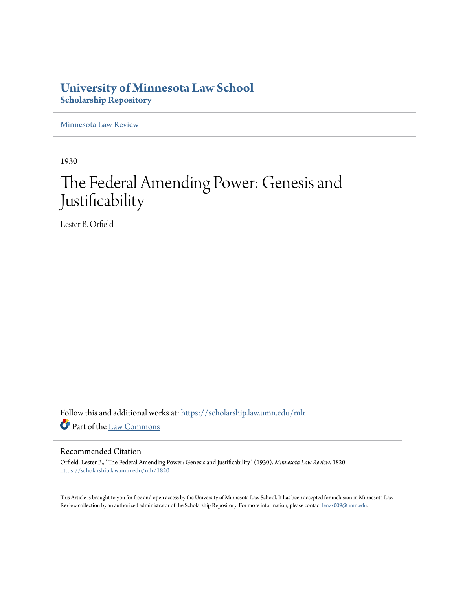# **University of Minnesota Law School [Scholarship Repository](https://scholarship.law.umn.edu?utm_source=scholarship.law.umn.edu%2Fmlr%2F1820&utm_medium=PDF&utm_campaign=PDFCoverPages)**

[Minnesota Law Review](https://scholarship.law.umn.edu/mlr?utm_source=scholarship.law.umn.edu%2Fmlr%2F1820&utm_medium=PDF&utm_campaign=PDFCoverPages)

1930

# The Federal Amending Power: Genesis and Justificability

Lester B. Orfield

Follow this and additional works at: [https://scholarship.law.umn.edu/mlr](https://scholarship.law.umn.edu/mlr?utm_source=scholarship.law.umn.edu%2Fmlr%2F1820&utm_medium=PDF&utm_campaign=PDFCoverPages) Part of the [Law Commons](http://network.bepress.com/hgg/discipline/578?utm_source=scholarship.law.umn.edu%2Fmlr%2F1820&utm_medium=PDF&utm_campaign=PDFCoverPages)

## Recommended Citation

Orfield, Lester B., "The Federal Amending Power: Genesis and Justificability" (1930). *Minnesota Law Review*. 1820. [https://scholarship.law.umn.edu/mlr/1820](https://scholarship.law.umn.edu/mlr/1820?utm_source=scholarship.law.umn.edu%2Fmlr%2F1820&utm_medium=PDF&utm_campaign=PDFCoverPages)

This Article is brought to you for free and open access by the University of Minnesota Law School. It has been accepted for inclusion in Minnesota Law Review collection by an authorized administrator of the Scholarship Repository. For more information, please contact [lenzx009@umn.edu.](mailto:lenzx009@umn.edu)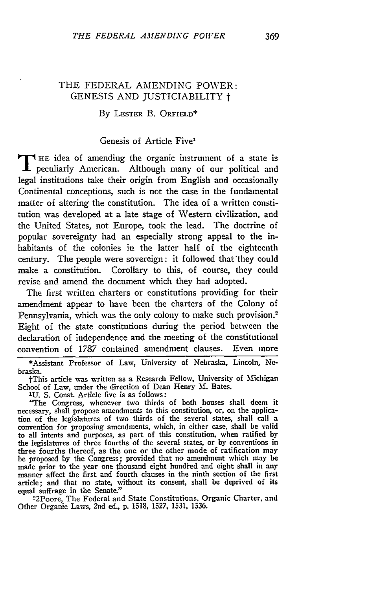### THE FEDERAL AMENDING POWER: GENESIS AND JUSTICIABILITY t

#### By LESTER B. ORFIELD\*

### Genesis of Article Five'

THE idea of amending the organic instrument of a state is peculiarly American. Although many of our political and legal institutions take their origin from English and occasionally Continental conceptions, such is not the case in the fundamental matter of altering the constitution. The idea of a written constitution was developed at a late stage of Western civilization, and the United States, not Europe, took the lead. The doctrine of popular sovereignty had an especially strong appeal to the inhabitants of the colonies in the latter half of the eighteenth century. The people were sovereign: it followed that they could make a constitution. Corollary to this, of course, they could revise and amend the document which they had adopted.

The first written charters or constitutions providing for their amendment appear to have been the charters of the Colony of Pennsylvania, which was the only colony to make such provision.<sup>2</sup> Eight of the state constitutions during the period between the declaration of independence and the meeting of the constitutional convention of 1787 contained amendment clauses. Even more

\*Assistant Professor of Law, University of Nebraska, Lincoln, Nebraska.

tThis article was written as a Research Fellow, University of Michigan School of Law, under the direction of Dean Henry **M.** Bates.

**2U. S.** Const. Article five is as follows:

"The Congress, whenever two thirds of both houses shall deem it necessary, shall propose amendments to this constitution, or, on the application of the legislatures of two thirds of the several states, shall call a convention for proposing amendments, which, in either case. shall **be** valid to all intents and purposes, as part of this constitution, when ratified **by** the legislatures of three fourths of the several states, or **by** conventions in three fourths thereof, as the one or the other mode of ratification may be proposed **by** the Congress; provided that no amendment which may **be** made prior to the year one thousand eight hundred and eight shall in any manner affect the first and fourth clauses in the ninth section of the first article; and that no state, without its consent, shall be deprived of **its** equal suffrage in the Senate." <sup>2</sup>

2Poore, The Federal and State Constitutions, Organic Charter, and Other Organic Laws, 2nd ed., **p. 1518, 1527, 1531, 1536.**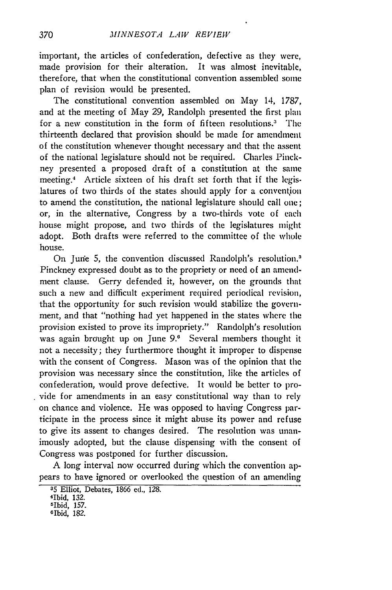important, the articles of confederation, defective as they were, made provision for their alteration. It was almost inevitable, therefore, that when the constitutional convention assembled some plan of revision would be presented.

The constitutional convention assembled on May 14, *1787,* and at the meeting of May 29, Randolph presented the first plan for a new constitution in the form of fifteen resolutions.' The thirteenth declared that provision should be made for amendment of the constitution whenever thought necessary and that the assent of the national legislature should not be required. Charles Pinckney presented a proposed draft of a constitution at the same meeting.4 Article sixteen of his draft set forth that if the legislatures of two thirds of the states should apply for a convention to amend the constitution, the national legislature should call one; or, in the alternative, Congress by a two-thirds vote of each house might propose, and two thirds of the legislatures might adopt. Both drafts were referred to the committee of the whole house.

On June 5, the convention discussed Randolph's resolution.<sup>8</sup> Pinckney expressed doubt as to the propriety or need of an amendment clause. Gerry defended it, however, on the grounds that such a new and difficult experiment required periodical revision, that the opportunity for such revision would stabilize the government, and that "nothing had yet happened in the states where the provision existed to prove its impropriety." Randolph's resolution was again brought up on June **9.0** Several members thought it not a necessity; they furthermore thought it improper to dispense with the consent of Congress. Mason was of the opinion that the provision was necessary since the constitution, like the articles of confederation, would prove defective. It would be better to provide for amendments in an easy constitutional way than to rely on chance and violence. He was opposed to having Congress participate in the process since it might abuse its power and refuse to give its assent to changes desired. The resolution was unanimously adopted, but the clause dispensing with the consent of Congress was postponed for further discussion.

**A** long interval now occurred during which the convention appears to have ignored or overlooked the question of an amending

**<sup>35</sup>**Elliot, Debates, 1866 ed., 128.

<sup>4</sup>Ibid, 132.

<sup>5</sup>Ibid, 157.

GIbid, 182.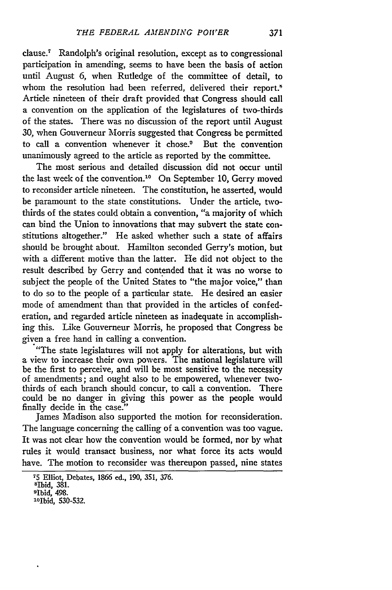clause.' Randolph's original resolution, except as to congressional participation in amending, seems to have been the basis of action until August 6, when Rutledge of the committee of detail, to whom the resolution had been referred, delivered their report.<sup>8</sup> Article nineteen of their draft provided that Congress should call a convention on the application of the legislatures of two-thirds of the states. There was no discussion of the report until August 30, when Gouverneur Morris suggested that Congress be permitted to call a convention whenever it chose.<sup>9</sup> But the convention unanimously agreed to the article as reported by the committee.

The most serious and detailed discussion did not occur until the last week of the convention."0 On September **10,** Gerry moved to reconsider article nineteen. The constitution, he asserted, would be paramount to the state constitutions. Under the article, twothirds of the states could obtain a convention, "a majority of which can bind the Union to innovations that may subvert the state constitutions altogether." He asked whether such a state of affairs should be brought about. Hamilton seconded Gerry's motion, but with a different motive than the latter. He did not object to the result described by Gerry and contended that it was no worse to subject the people of the United States to "the major voice," than to do so to the people of a particular state. He desired an easier mode of amendment than that provided in the articles of confederation, and regarded article nineteen as inadequate in accomplishing this. Like Gouverneur Morris, he proposed that Congress be given a free hand in calling a convention.

"The state legislatures will not apply for alterations, but with a view to increase their own powers. The national legislature will be the first to perceive, and will be most sensitive to the necessity of amendments; and ought also to be empowered, whenever twothirds of each branch should concur, to call a convention. There could be no danger in giving this power as the people would finally decide in the case."

James Madison also supported the motion for reconsideration. The language concerning the calling of a convention was too vague. It was not clear how the convention would be formed, nor by what rules it would transact business, nor what force its acts would have. The motion to reconsider was thereupon passed, nine states

**<sup>75</sup>**Elliot, Debates, 1866 ed., 190, 351, 376. Sbid, 381.

<sup>9</sup>Ibid, 498.

<sup>10</sup>Ibid, 530-532.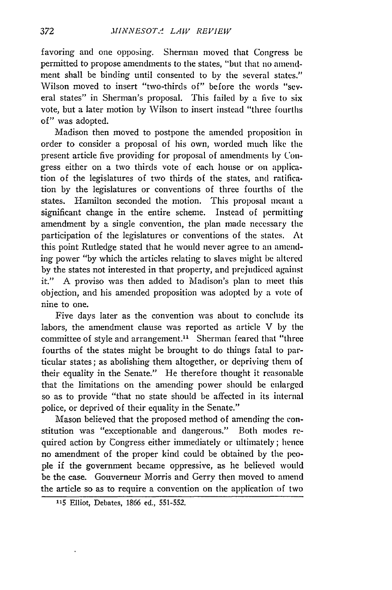favoring and one opposing. Sherman moved that Congress be permitted to propose amendments to the states, "but that no amendment shall be binding until consented to by the several states." Wilson moved to insert "two-thirds of" before the words "several states" in Sherman's proposal. This failed by a five to six vote, but a later motion **by** Wilson to insert instead "three fourths of" was adopted.

Madison then moved to postpone the amended proposition in order to consider a proposal of his own, worded much like the present article five providing for proposal of amendments by Congress either on a two thirds vote of each house or on application of the legislatures of two thirds of the states, and ratification **by** the legislatures or conventions of three fourths of the states. Hamilton seconded the motion. This proposal meant a significant change in the entire scheme. Instead of permitting amendment by a single convention, the plan made necessary the participation of the legislatures or conventions of the states. At this point Rutledge stated that he would never agree to an amending power **"by** which the articles relating to slaves might be altered **by** the states not interested in that property, and prejudiced against it." A proviso was then added to Madison's plan to meet this objection, and his amended proposition was adopted **by** a vote of nine to one.

Five days later as the convention was about to conclude its labors, the amendment clause was reported as article V **by** the committee of style and arrangement.<sup>11</sup> Sherman feared that "three fourths of the states might be brought to do things fatal to particular states; as abolishing them altogether, or depriving them of their equality in the Senate." He therefore thought it reasonable that the limitations on the amending power should be enlarged so as to provide "that no state should be affected in its internal police, or deprived of their equality in the Senate."

Mason believed that the proposed method of amending the constitution was "exceptionable and dangerous." Both modes required action **by** Congress either immediately or ultimately; hence no amendment of the proper kind could be obtained **by** the peopie if the government became oppressive, as he believed would be the case. Gouverneur Morris and Gerry then moved to amend the article so as to require a convention on the application of two

**<sup>115</sup>** Elliot, Debates, 1866 ed., 551-552.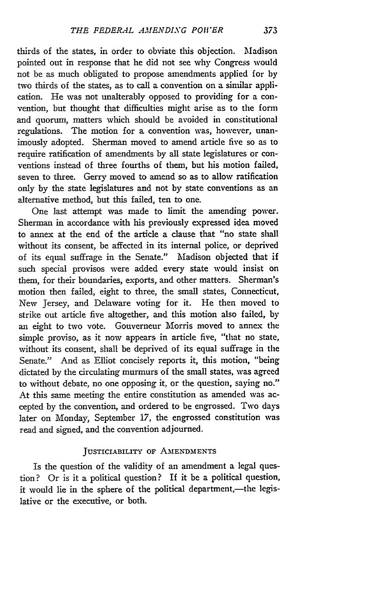thirds of the states, in order to obviate this objection. Madison pointed out in response that he did not see why Congress would not be as much obligated to propose amendments applied for by two thirds of the states, as to call a convention on a similar application. He was not unalterably opposed to providing for a convention, but thought that difficulties might arise as to the form and quorum, matters which should be avoided in constitutional regulations. The motion for a convention was, however, unanimously adopted. Sherman moved to amend article five so as to require ratification of amendments by all state legislatures or conventions instead of three fourths of them, but his motion failed, seven to three. Gerry moved to amend so as to allow ratification only by the state legislatures and not by state conventions as an alternative method, but this failed, ten to one.

One last attempt was made to limit the amending power. Sherman in accordance with his previously expressed idea moved to annex at the end of the article a clause that "no state shall without its consent, be affected in its internal police, or deprived of its equal suffrage in the Senate." Madison objected that if such special provisos were added every state would insist on them, for their boundaries, exports, and other matters. Sherman's motion then failed, eight to three, the small states, Connecticut, New Jersey, and Delaware voting for it. He then moved to strike out article five altogether, and this motion also failed, by an eight to two vote. Gouverneur Morris moved to annex the simple proviso, as it now appears in article five, "that no state, without its consent, shall be deprived of its equal suffrage in the Senate." And as Elliot concisely reports it, this motion, "being dictated by the circulating murmurs of the small states, was agreed to without debate, no one opposing it, or the question, saying no." At this same meeting the entire constitution as amended was accepted by the convention, and ordered to be engrossed. Two days later on Monday, September 17, the engrossed constitution was read and signed, and the convention adjourned.

#### JUSTICIABILITY OF AMENDMENTS

Is the question of the validity of an amendment a legal question? Or is it a political question? If it be a political question, it would lie in the sphere of the political department,-the legislative or the executive, or both.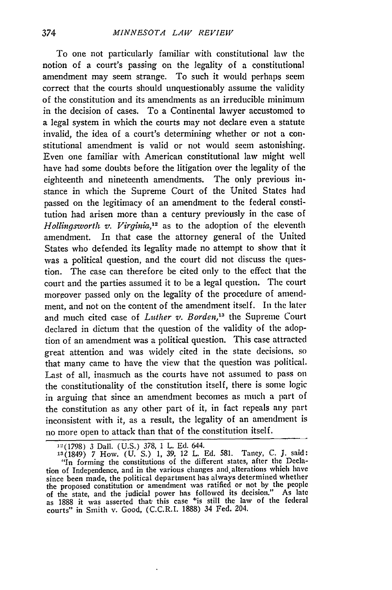To one not particularly familiar with constitutional law the notion of a court's passing on the legality of a constitutional amendment may seem strange. To such it would perhaps seem correct that the courts should unquestionably assume the validity of the constitution and its amendments as an irreducible minimum in the decision of cases. To a Continental lawyer accustomed to a legal system in which the courts may not declare even a statute invalid, the idea of a court's determining whether or not a constitutional amendment is valid or not would seem astonishing. Even one familiar with American constitutional law might well have had some doubts before the litigation over the legality of the eighteenth and nineteenth amendments. The only previous instance in which the Supreme Court of the United States had passed on the legitimacy of an amendment to the federal constitution had arisen more than a century previously in the case of *Hollingsworth v. Virginia,12* as to the adoption of the eleventh amendment. In that case the attorney general of the United States who defended its legality made no attempt to show that it was a political question, and the court did not discuss the question. The case can therefore be cited only to the effect that the court and the parties assumed it to be a legal question. The court moreover passed only on the legality of the procedure of amendment, and not on the content of the amendment itself. In the later and much cited case of *Luther v. Borden*,<sup>13</sup> the Supreme Court declared in dictum that the question of the validity of the adoption of an amendment was a political question. This case attracted great attention and was widely cited in the state decisions, so that many came to have the view that the question was political. Last of all, inasmuch as the courts have not assumed to pass on the constitutionality of the constitution itself, there is some logic in arguing that since an amendment becomes as much a part of the constitution as any other part of it, in fact repeals any part inconsistent with it, as a result, the legality of an amendment is no more open to attack than that of the constitution itself.

<sup>12(1798) 3</sup> Dal. (U.S.) 378, 1 L. Ed. 644.

<sup>13(1849) 7</sup> How. (U. S.) 1, 39, 12 L. Ed. 581. Taney, *C.* J. said: "In forming the constitutions of the different states, after the Declation of Independence, and in the various changes and.alterations which have since been made, the political department has always determined whether the proposed constitution or amendment was ratified or not by the people of the state, and the judicial power has followed its decision." As late as 1888 it was asserted that this case "is still the law of the federal courts" in Smith v. Good, (C.C.R.I. 1888) 34 Fed. 204.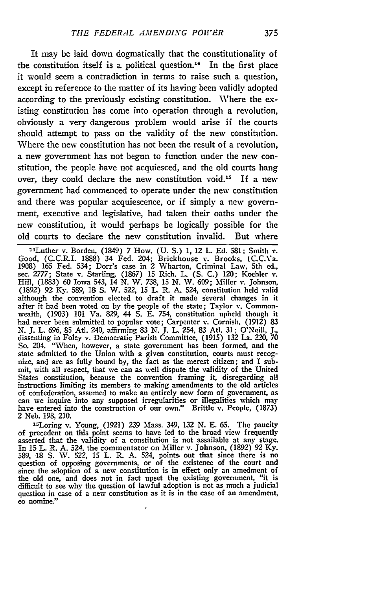It may be laid down dogmatically that the constitutionality of the constitution itself is a political question.14 In the first place it would seem a contradiction in terms to raise such a question, except in reference to the matter of its having been validly adopted according to the previously existing constitution. Where the existing constitution has come into operation through a revolution, obviously a very dangerous problem would arise if the courts should attempt to pass on the validity of the new constitution. Where the new constitution has not been the result of a revolution, a new government has not begun to function under the new constitution, the people have not acquiesced, and the old courts hang over, they could declare the **new** constitution void.15 If a new government had commenced to operate under the new constitution and there was popular acquiescence, or if simply a new government, executive and legislative, had taken their oaths under the new constitution, it would perhaps be logically possible for the old courts to declare the new constitution invalid. But where

14Luther v. Borden, (1849) **7** How. **(U. S.) 1,** 12 L. **Ed. 581;** Smith v. Good, (C.C.R.I. **1888)** 34 Fed. 204; Brickhouse v. Brooks, (C.C.Va. 1908) 165 Fed. 534; Dorr's case in 2 Wharton, Criminal Law, 5th ed., sec. 2777; State v. Starling, (1867) 15 Rich. L. (S. C.) 120; Koehler v. Hill, (1883) 60 Iowa 543, 14 N. W. 738, 15 N. W. 609; Miller v. Johnson **(1892)** *92* **Ky. 589, 18 S.** W. 522, **15 L.** R. **A.** 524, constitution **held** valid although the convention elected to draft it made several changes in it after it had been voted on **by** the people of the state; Taylor **v.** Commonwealth, (1903) **101** Va. **829,** 44 **S. E.** 754, constitution upheld though it had never been submitted to popular vote; Carpenter v. Cornish, **(1912) 83 N. J.** L. **696, 85** Atl. 240, affirming **83 N. J.** L 254, **83** Ati. **31** ; O'Neill, **J.,** dissenting in Foley v. Democratic Parish Committee, **(1915) 132** La. 220, **70** So. 204. "When, however, a state government has been formed, and the state admitted to the Union with a given constitution, courts must recognize, and are as fully bound **by,** the fact as the merest citizen; and I submit, with all respect, that we can as well dispute the validity of the United States constitution, because the convention framing it, disregarding all instructions limiting its members to making amendments to the old articles of confederation, assumed to make an entirely new form of government, as can we inquire into any supposed irregularities or illegalities which may have entered into the construction of our own." Brittle v. People, **(1873)** 2 Neb. **198,** 210.

l 5Loring v. Young, (1921) **239** Mass. 349, **132 N. E. 65.** The paucity of precedent on this point seems to have led to the broad view frequently asserted that the validity of a constitution is not assailable at any stage. In **15** L. R. **A.** 524. the commentator on Miller *v.* Johnson, **(1892) 92 Ky. 589, -18 S. W. 522, 15** L. **R. A.** 524, points, out that since there is no question of opposing governments, or of the existence of the court and since the adoption of a new constitution is in effect only an amedment of the old one, and does not in fact upset the existing government, "it is difficult to see why the question of lawful adoption is not as much a judicial question in case of a new constitution as it is in the case of an amendment, eo nomine."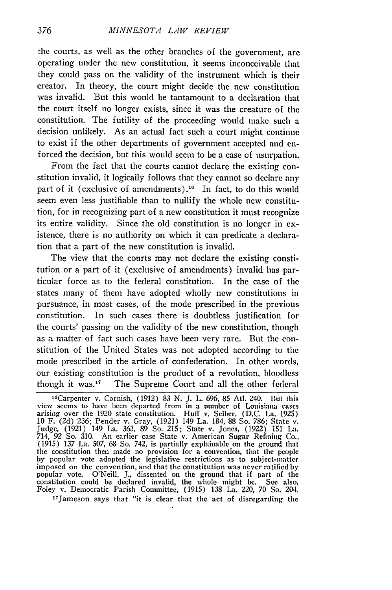the courts, as **well** as the other branches of the government, **are** operating under the new constitution, it seems inconceivable that they could pass on the validity of the instrument which is their creator. In theory, the court might decide the new constitution was invalid. But this would be tantamount to a declaration that the court itself no longer exists, since it was the creature of the constitution. The futility of the proceeding would make such a decision unlikely. As an actual fact such a court might continue to exist if the other departments of government accepted and enforced the decision, but this would seem to be a case of usurpation.

From the fact that the courts cannot declare the existing **con**stitution invalid, it logically follows that they cannot so declare any part of it (exclusive of amendments).<sup>16</sup> In fact, to do this would seem even less justifiable than to nullify the whole **new** constitution, for in recognizing part of a **new** constitution it must recognize its entire validity. Since the old constitution is no longer in existence, there is no authority on which it can predicate a declaration that a part **of** the new constitution is invalid.

The view that the courts may not declare the existing constitution or a part of it (exclusive of amendments) invalid has particular force as to the federal constitution. In the case of the states many of them have adopted wholly new constitutions in pursuance, in most cases, of the mode prescribed in the previous constitution. In such cases there is doubtless justification for the courts' passing on the validity of the new constitution, though as a matter of fact such cases have been very rare. But the **con**stitution of the United States was not adopted according to the mode prescribed in the article of confederation. In other words, our existing constitution is the product of a revolution, bloodless though it was. $17$  The Supreme Court and all the other federal

leCarpenter v. Cornish, **(1912) 83 N. J.** L. **696, 85** Atl. 240. **Lut** this view seems to have been departed from in a number of Louisiana cases<br>arising over the 1920 state constitution. Huff v. Selber, (D.C. La. 1925)<br>10 F. (2d) 236; Pender v. Gray, (1921) 149 La. 184, 88 So. 786; State v.<br>Judge, **(1915) 137** La. **507, 68** So. 742, is partially explainable on the ground that the constitution then made no provision for a convention, that the people<br>by popular vote adopted the legislative restrictions as to subject-matter<br>imposed on the convention, and that the constitution was never ratified by constitution could be declared invalid, the whole might **be. See** also, Foley v. Democratic Parish Committee, **(1915) 138** La. 220, **70** So. 204. 17

Jameson says that "it is clear that the act of disregarding **the**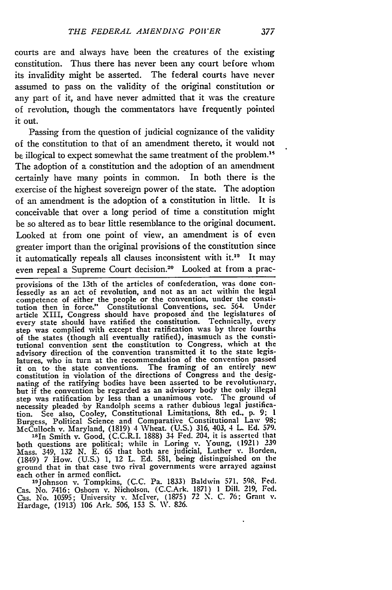courts are and always have been the creatures of the existing constitution. Thus there has never been any court before whom its invalidity might be asserted. The federal courts have never assumed to pass on the validity of the original constitution or any part of it, and have never admitted that it was the creature of revolution, though the commentators have frequently pointed it out.

Passing from the question of judicial cognizance of the validity of the constitution to that of an amendment thereto, it would not be illogical to expect somewhat the same treatment of the problem.<sup>15</sup> The adoption of a constitution and the adoption of an amendment certainly have many points in common. In both there is the exercise of the highest sovereign power of the state. The adoption of an amendment is the adoption of a constitution in little. It is conceivable that over a long period of time a constitution might be so altered as to bear little resemblance to the original document. Looked at from one point of view, an amendment is of even greater import than the original provisions of the constitution since it automatically repeals all clauses inconsistent with it.<sup>10</sup> It may even repeal a Supreme Court decision.20 Looked at from a prac-

provisions of the 13th of the articles of confederation, was done confessedly as an act of revolution, and not as an act within the legal competence of either the people or the convention, under the constitution then in force." Constitutional Conventions, sec. 564. Under article XIII, Congress should have proposed ind the legislatures of every state should have ratified the constitution. Technically, every step was complied with except that ratification was by three fourths of the states (though all eventually ratified), inasmuch as the **consti**tutional convention sent the constitution to Congress, which at the advisory direction of the convention transmitted it to the state legislatures, who in turn at the recommendation of the convention passed it on to the state conventions. The framing of an entirely new constitution in violation of the directions of Congress and the designating of the ratifying bodies have been asserted to be revolutionary, but if the convention be regarded as an advisory body the only illegal step was ratification **by** less than a unanimous vote. The ground of necessity pleaded by Randolph seems a rather dubious legal justification. See also, Cooley, Constitutional Limitations, **8th** ed., p. 9; 1 Burgess, Political Science and Comparative Constitutional Law 98; McCulloch v. Maryland, (1819) 4 Wheat. (U.S.) 316, 403, 4 L **Ed.** 579.

1sIn Smith v. Good, (C.C.R.I. **1888)** 34 Fed. 204, it is asserted that both questions are political; while in Loring v. Young, (1921) 239 Mass. 349, 132 N. E. **65** that both are judicial, Luther v. Borden, (1849) 7 How. (U.S.) 1, 12 L. Ed. 581, being distinguished on the ground that in that case two rival governments were arrayed agains each other in armed conflict.

' 9Johnson v. Tompkins, (C.C. Pa. 1833) Baldwin **571. 598.** Fed. Cas. No. 7416; Osborn v. Nicholson, (C.C.Ark. **1871)** 1 Dill. 219, Fed. Cas. No. 10595; University v. McIver, (1875) 72 N. C. 76; Grant v. Hardage, (1913) 106 Ark. 506, **153 S. V.** 826.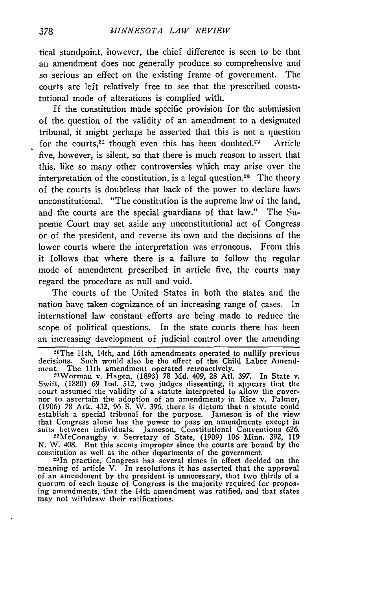tical standpoint, however, the chief difference is seen to be that an amendment does not generally produce so comprehensive and so serious an effect on the existing frame of government. The courts are left relatively free to see that the prescribed constitutional mode of alterations is complied with.

If the constitution made specific provision for the submission of the question of the validity of an amendment to a designated tribunal, it might perhaps be asserted that this is not a question for the courts,<sup>21</sup> though even this has been doubted.<sup>22</sup> Article five, however, is silent, so that there is much reason to assert that this, like so many other controversies which may arise over the interpretation of the constitution, is a legal question.<sup>23</sup> The theory of the courts is doubtless that back of the power to declare laws unconstitutional. "The constitution is the supreme law of the land, and the courts are the special guardians of that law." The Supreme Court may set aside any unconstitutional act of Congress or of the president, and reverse its own and the decisions **of** the lower courts where the interpretation was erroneous. From this it follows that where there is a failure to follow the regular mode of amendment prescribed in article five, the courts may regard the procedure as null and void.

The courts of the United States in both the states and the nation have taken cognizance of an increasing range of cases. In international law constant efforts are being made to reduce the scope of political questions. In the state courts there has been an increasing development of judicial control over the amending

**N.** W. 408. But this seems improper since the courts are bound **by** the constitution as well as the other departments of the government.<br><sup>23</sup>In practice, Congress has several times in effect decided on the

meaning of article V. In resolutions it has asserted that the approval of an amendment **by** the president is unnecessary, that two thirds of a quorum of each house of Congress is the majority required for proposing amendments, that the 14th amendment was ratified, and that states may not withdraw their ratifications.

<sup>2</sup> OThe 11th, 14th, and 16th amendments operated to nullify previous decisions. Such would also be the effect of the Child Labor Amendment. The 11th amendment operated retroactively

Worman v. Hagen, (1893) **78 Md.** 409, **28** Atl. 397. In State v. Swift, (1880) 69 Ind. 512, two judges dissenting, it appears that **the** court assumed the validity of a statute interpreted to allow the gover- nor to ascertain the adoption of an amendment; in Rice v. Palmer, nor to ascertain the adoption of an amendmenty in Rice v. Palmer, (1906) 78 Ark. 432, 96 S. W. 396, there is dictum that a statute could establish a special tribunal for the purpose. Jameson is of the view that Congress alone has the power to pass on amendments except in suits between individuals. Jameson, Constitutional Conventions 626. 22McConaughy v. Secretary of State, (1909) 106 Minn. 392, 119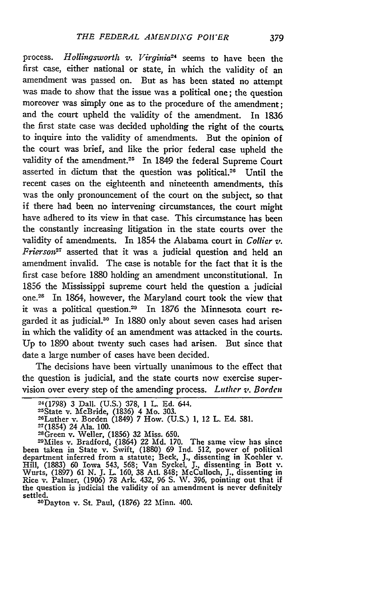process. *Hollingsworth v. Virginia<sup>24</sup>* seems to have been the first case, either national or state, in which the validity of an amendment was passed on. But as has been stated no attempt was made to show that the issue was a political one; the question moreover was simply one as to the procedure of the amendment; and the court upheld the validity of the amendment. In 1836 the first state case was decided upholding the right of the courts to inquire into the validity of amendments. But the opinion of the court was brief, and like the prior federal case upheld the validity of the amendment.<sup>25</sup> In 1849 the federal Supreme Court asserted in dictum that the question was political."0 Until the recent cases on the eighteenth and nineteenth amendments, this was the only pronouncement of the court on the subject, so that if there had been no intervening circumstances, the court might have adhered to its view in that case. This circumstance has been the constantly increasing litigation in the state courts over the validity of amendments. In 1854 the Alabama court in *Collier v. Friersoni-* asserted that it was a judicial question and held an amendment invalid. The case is notable for the fact that it is the first case before 1880 holding an amendment unconstitutional. In 1856 the Mississippi supreme court held the question a judicial one.28 In 1864, however, the Maryland court took the view that it was a political question.<sup>29</sup> In 1876 the Minnesota court regarded it as judicial.<sup>30</sup> In 1880 only about seven cases had arisen in which the validity of an amendment was attacked in the courts. Up to 1890 about twenty such cases had arisen. But since that date a large number of cases have been decided.

The decisions have been virtually unanimous to the effect that the question is judicial, and the state courts now exercise supervision over every step of the amending process. *Luther v. Borden*

Green v. Weller, (1856) 32 Miss. 650. <sup>29</sup> Miles v. Bradford, (1864) 22 **Aid.** 170. The same view has since been taken in State v. Swift, (1880) 69 Ind. 512, power of political department inferred from a statute; Beck, J., dissenting in Koehler v. Hill, (1883) 60 Iowa 543, 568; Van Syckel, J., dissenting in Bott v. Wurts, (1897) Rice v. Palmer, (1906) 78 Ark. 432, 96 **S.** W. 396, pointing out that if the question is judicial the validity of an amendment is never definitely settled.

°Dayton v. St. Paul, (1876) 22 Minn. 400.

<sup>&</sup>lt;sup>24</sup>(1798) 3 Dall. (U.S.) 378, 1 L. Ed. 644.<br><sup>25</sup>State v. McBride, (1836) 4 Mo. 303.<br><sup>26</sup>Luther v. Borden (1849) 7 How. (U.S.) 1, 12 L. Ed. 581.

 $27(1854)$  24 Ala. 100.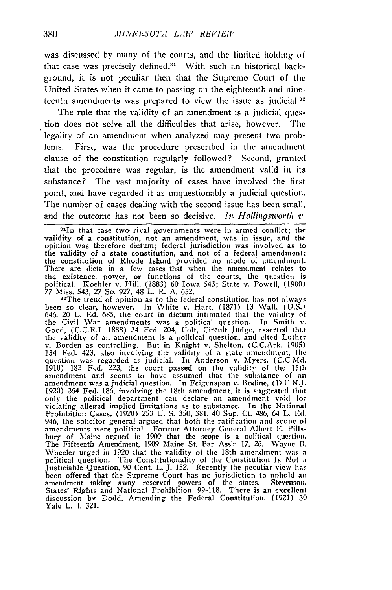was discussed by many of the courts, and the limited holding of that case was precisely defined." With such an historical **back**ground, it is not peculiar then that the Supremo Court of the United States when it came to passing on the eighteenth and nineteenth amendments was prepared to view the issue as judicial. $32$ 

The rule that the validity of an amendment is a judicial question does not solve all the difficulties that arise, however. The legality of an amendment when analyzed may present two problems. First, was the procedure prescribed in the amendment clause of the constitution regularly followed? Second, granted that the procedure was regular, is the amendment valid in its substance? The vast majority of cases have involved the first point, and have regarded it as unquestionably a judicial question. The number of cases dealing with the second issue has been small. and the outcome has not been so decisive. *In Hollingsworth*  $\boldsymbol{v}$ 

<sup>31</sup>In that case two rival governments were in armed conflict; the validity of a constitution, not an amendment, was in issue, and the opinion was therefore dictum; federal jurisdiction was involved as to the validity of a state constitution, and not of a federal amendment; the constitution of Rhode Island provided no mode of amendment. There are dicta in a few cases that when the amendment relates to the existence, power, or functions of the courts, the question is political. Koehler v. Hill, (1883) 60 Iowa 543; State v. Powell, (1900) 77 Miss. 543, 27 So. 927, 48 L. R. A. 652.

 $32$ The trend of opinion as to the federal constitution has not always been so clear, however. In White v. Hart, (1871) 13 Wall. (U.S.)<br>646, 20 L. Ed. 685, the court in dictum intimated that the validity o the Civil War amendments was a political question. In Smith v. Good, (C.C.R.I. 1888) 34 Fed. 204, Colt, Circuit Judge, asserted that the validity of an amendment is a political question, and cited Luther v. Borden as controlling. But in Knight v. Shelton, (C.C.Ark. 1905) 134 Fed. 423, also involving the validity of a state amendment, the question was regarded as judicial. In Anderson v. Myers. (C.C.Md. 1910) 182 Fed. 223, the court passed on the validity of the 15th amendment and seems to have assumed that the substance of an amendment was a judicial question. In Feigenspan v. Bodine, (D.C.N.J. 1920) *264* Fed. 186, involving the 18th amendment, it is suggested that only the political department can declare an amendment void for violating alleged implied limitations as to substance. In the National Prohibition Cases, (1920) 253 U. **S.** 350, 381, 40 Sup. Ct. 486, 64 L. **Ed.** 946, the solicitor general argued that both the ratification and scope of amendments were political. Former Attorney General Albert **F.** Pills-bury of Maine argued in 1909 that the scope is a political question. The Fifteenth Amendment, 1909 Maine St. Bar Ass'n **17,** 26. Wayne 1. Wheeler urged in 1920 that the validity of the 18th amendment was a political question. The Constitutionality of the Constitution Is Not a Justiciable Question, 90 Cent. L. J. 152. Recently the peculiar view has been offered that the Supreme Court has no jurisdiction to uphold an amendment taking away reserved powers of the states. Stevenson States' Rights and National Prohibition 99-118. There is an excellen discussion bv Dodd, Amending the Federal Constitution, (1921) **30** Yale L. J. 321.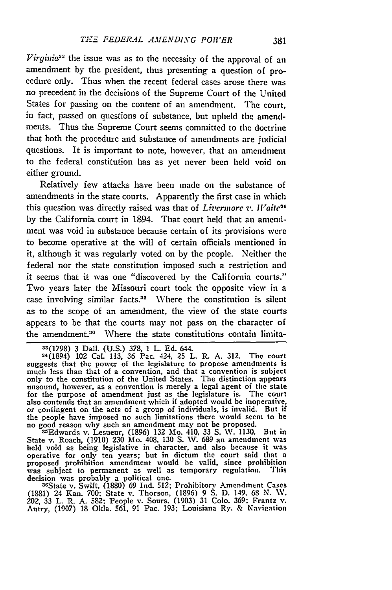*Virginic33* the issue was as to the necessity of the approval of an amendment **by** the president, thus presenting a question of procedure only. Thus when the recent federal cases arose there was no precedent in the decisions of the Supreme Court of the United States for passing on the content of an amendment. The court, in fact, passed on questions of substance, but upheld the amendments. Thus the Supreme Court seems committed to the doctrine that both the procedure and substance of amendments are judicial questions. It is important to note, however, that an amendment to the federal constitution has as yet never been held void **on** either ground.

Relatively few attacks have been made on the substance of amendments in the state courts. Apparently the first case in which this question was directly raised was that of *Livermore z. IVaite3* **by** the California court in 1894. That court held that an amendment was void in substance because certain of its provisions were to become operative at the will of certain officials mentioned in it, although it was regularly voted on **by** the people. Neither the federal nor the state constitution imposed such a restriction and it seems that it **was** one "discovered **by** the California courts." Two years later the Missouri court took the opposite view in a case involving similar facts.<sup>35</sup> Where the constitution is silent as to the scope of an amendment, the view of the state courts appears to be that the courts may not pass on the character of the amendment.36 Where the state constitutions contain limita-

**33(1798) 3** Dall. **(U.S.) 378, 1** L. **Ed.** 644.

34(1894) 102 Cal. **113, 36** Pac. 424, 25 L. R. **A. 312.** The court suggests that the power of the legislature to propose amendments is much less than that of a convention, and that a convention is subject only to the constitution of the United States. The distinction appears unsound, however, as a convention is merely a legal agent of **the** state for the purpose of amendment just as the legislature is. The court also contends that an amendment which if adopted would **be** inoperative. or contingent on the acts of a group of individuals, is invalid. But if

the people have imposed no such limitations there would seem to be<br>no good reason why such an amendment may not be proposed.<br><sup>35</sup>Edwards v. Lesueur, (1896) 132 Mo. 410, 33 S. W. 1130. But in<br>State v. Roach, (1910) 230 Mo. decision was probably a political one.<br><sup>36</sup>State v. Swift, (1880) 69 Ind. 512; Prohibitory Amendment Cases

**(1881)** 24 Kan. **700:** State v. Thorson, **(1896) 9 S. D.** 149. **68 N. W.** 202, **33** L. R. **A. 582:** People v. Sours. **(1903) 31 Colo. 369:** Frantz v. Autry, **(1907) 18** Okla. **561, 91** Pac. **193;** Louisiana **Ry. &** Navigation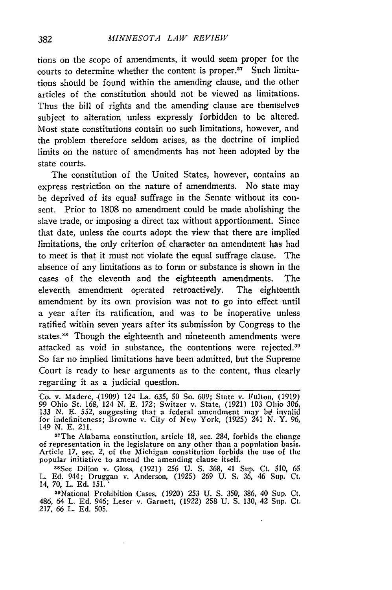tions on the scope of amendments, it would seem proper for the courts to determine whether the content is proper. $37$  Such limitations should be found within the amending clause, and the other articles of the constitution should not be viewed as limitations. Thus the bill of rights and the amending clause are themselves subject to alteration unless expressly forbidden to be altered. Most state constitutions contain no such limitations, however, and the problem therefore seldom arises, as the doctrine of implied limits on the nature of amendments has not been adopted by the state courts.

The constitution of the United States, however, contains an express restriction on the nature of amendments. No state may be deprived of its equal suffrage in the Senate without its consent. Prior to 1808 no amendment could be made abolishing the slave trade, or imposing a direct tax without apportionment. Since that date, unless the courts adopt the view that there are implied limitations, the only criterion of character an amendment has had to meet is that it must not violate the equal suffrage clause. The absence of any limitations as to form or substance is shown in the cases of the eleventh and the eighteenth amendments. The eleventh amendment operated retroactively. The eighteenth amendment **by** its own provision was not to go into effect until a year after its ratification, and was to be inoperative unless ratified within seven years after its submission **by** Congress to the states.<sup>38</sup> Though the eighteenth and nineteenth amendments were attacked as void in substance, the contentions were rejected.<sup>39</sup> So far no implied limitations have been admitted, but the Supreme Court is ready to hear arguments as to the content, thus clearly regarding it as a judicial question.

37 The Alabama constitution, article **18,** sec. 284, forbids the change of representation in the legislature on any other than a population basis. Article 17, sec. 2, of the Michigan constitution forbids the use of the popular initiative to amend the amending clause itself.

sSee Dillon v. Gloss, (1921) 256 **U. S.** 368, 41 Sup. Ct. 510, 65 L. **Ed.** 944; Druggan v. Anderson, (1925) **269 U. S. 36,** 46 Sup. **Ct,** 14, 70, L. **Ed.** 151."

<sup>39</sup>National Prohibition Cases, (1920) 253 U. S. 350, 386, 40 Sup. Ct. 486, 64 L. **Ed.** 946; Leser v. Garnett, (1922) **258 U. S.** 130, 42 Sup. Ct. 217, *66* L. **Ed. 505.**

Co. v. Madere, (1909) 124 La. 635, 50 So. 609; State v. Fulton, (1919 99 Ohio St. 168, 124 **N.** E. 172; Switzer v. State, (1921) 103 Ohio 306, 133 **N. E.** 552, suggesting that a federal amendment may **be!** invalid for indefiniteness; Browne v. City of New York, (1925) 241 **N.** Y. *96,* 149 **N. E.** 211.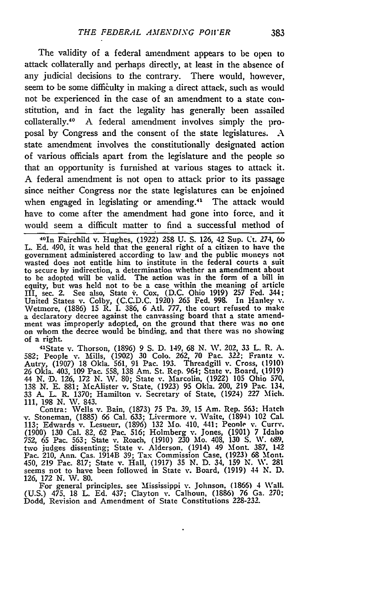The validity of a federal amendment appears to **be** open to attack collaterally and perhaps directly, at least in the absence of any judicial decisions to the contrary. There would, however, seem to be some difficulty in making a direct attack, such as would not be experienced in the case of an amendment to a state constitution, and in fact the legality has generally been assailed collaterally.40 **A** federal amendment involves simply the proposal **by** Congress and the consent of the state legislatures. **A** state amendment involves the constitutionally designated action of various officials apart from the legislature and the people so that an opportunity is furnished at various stages to attack it. **A** federal amendment is not open to attack prior to its passage since neither Congress nor the state legislatures can be enjoined when engaged in legislating or amending.<sup>41</sup> The attack would have to come after the amendment had gone into force, and it would seem a difficult matter to find a successful method of

4 <sup>0</sup> 1n Fairchild v. Hughes, **(1922) 258 U. S.** 126, 42 Sup. Ct. 274, **60** L. **Ed.** 490, it was held that the general right of a citizen to have the government administered according to law and the public moneys no wasted does not entitle him to institute in the federal courts a suit to secure **by** indirection, a determination whether an amendment about to be adopted will be valid. The action was in the form of a bill in equity, but was held not to be a case within the meaning of article III, sec. 2. See also, State **i .** Cox, **(D.C.** Ohio **1919)** 257 **Fed.** 344; United States v. Colby, **(C.C.D.C. 1920) 265 Fed. 998.** In Hanley **v.** Wetmore, (1886) 15 R. I. 386, 6 Atl. 777, the court refused to make<br>a declaratory decree against the canvassing board that a state amendment was improperly adopted, on the ground that there was no one on whom the decree would be binding, and that there was no showing of a right

41State v. Thorson, **(1896) 9 S. D.** 149, **68 N. W.** 202, **33** L. R. **A. 582;** People v. Mills, **(1902) 30 Colo.** 262, **70** Pac. **322;** Frantz **v.** Autry, (1907) **18** Okla. **561, 91** Pac. **193.** Threadgill **v.** Cross, **(1910) 26** Okla. 403, **109** Pac. **558, 138** Am. St. Rep. 964; State v. Board, **(1919)** 44 **N. D. 126, 172 N. W. 80;** State v. Marcolin, **(1922) 105** Ohio 570, **138 N. E. 881;** McAlister v. State, **(1923) 95** Okla. 200, **219** Pac. 134, **33 A.** L. R. **1370;** Hamilton v. Secretary of State, (1924) 227 Mich. **111, 198 N.** W. 843.

Contra: Wells v. Bain, (1873) **75** Pa. **39, 15** Am. Rep. **563:** Hatch v. Stoneman, **(1885) 66** Cal. **633;** Livermore v. **Waite,** (1894) 102 Cal. **113;** Edwards v. Lesueur, **(1896) 132** Mo. 410, 441; Peonle v. Curry. **(1900) 130** Cal. **82, 62** Pac. **516;** Holmberg v. Jones, (1901) 7 Idaho **752, 65** Pac. **563;** State v. Roach, **(1910) 230 Mo.** 408, **130 S. W. 689.** two judges dissenting; State v. Alderson. (1914) 49 Mont. **387.** 142 Pac. 210, Ann. Cas. 1914B **39;** Tax Commission Case. **(1923) 68** .Mont. 450, **219** Pac. **817;** State v. Hall, **(1917) 35 N. D.** 34, **159 N. XV. 281** seems not to have been followed in State v. Board, **(1919)** 44 **N. D. 126, 172** *N.* **W. 80.**

For general principles, see Mississippi v. Johnson. (1866) 4 Wall. **(U.S.)** 475. **18** L. **Ed.** 437; Clayton v. Calhoun, **(1886) 76** Ga. 270; Dodd, Revision and Amendment of State Constitutions **228-232.**